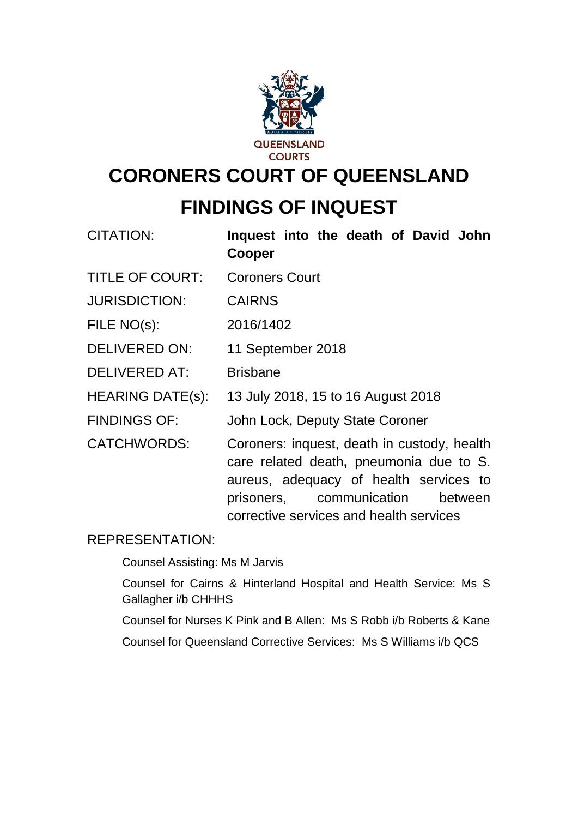

# **CORONERS COURT OF QUEENSLAND FINDINGS OF INQUEST**

| CITATION:               | Inquest into the death of David John<br>Cooper                                                                                                                                                                     |
|-------------------------|--------------------------------------------------------------------------------------------------------------------------------------------------------------------------------------------------------------------|
| <b>TITLE OF COURT:</b>  | <b>Coroners Court</b>                                                                                                                                                                                              |
| <b>JURISDICTION:</b>    | <b>CAIRNS</b>                                                                                                                                                                                                      |
| FILE NO(s):             | 2016/1402                                                                                                                                                                                                          |
| DELIVERED ON:           | 11 September 2018                                                                                                                                                                                                  |
| <b>DELIVERED AT:</b>    | <b>Brisbane</b>                                                                                                                                                                                                    |
| <b>HEARING DATE(s):</b> | 13 July 2018, 15 to 16 August 2018                                                                                                                                                                                 |
| <b>FINDINGS OF:</b>     | John Lock, Deputy State Coroner                                                                                                                                                                                    |
| <b>CATCHWORDS:</b>      | Coroners: inquest, death in custody, health<br>care related death, pneumonia due to S.<br>aureus, adequacy of health services to<br>prisoners, communication<br>between<br>corrective services and health services |

## REPRESENTATION:

Counsel Assisting: Ms M Jarvis

Counsel for Cairns & Hinterland Hospital and Health Service: Ms S Gallagher i/b CHHHS

Counsel for Nurses K Pink and B Allen: Ms S Robb i/b Roberts & Kane

Counsel for Queensland Corrective Services: Ms S Williams i/b QCS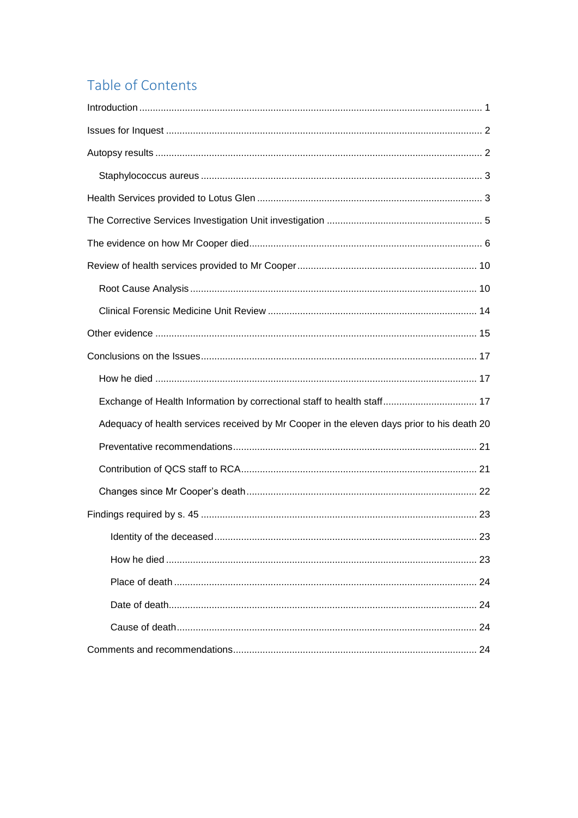## Table of Contents

| Exchange of Health Information by correctional staff to health staff 17                    |
|--------------------------------------------------------------------------------------------|
| Adequacy of health services received by Mr Cooper in the eleven days prior to his death 20 |
|                                                                                            |
|                                                                                            |
|                                                                                            |
|                                                                                            |
|                                                                                            |
|                                                                                            |
|                                                                                            |
|                                                                                            |
|                                                                                            |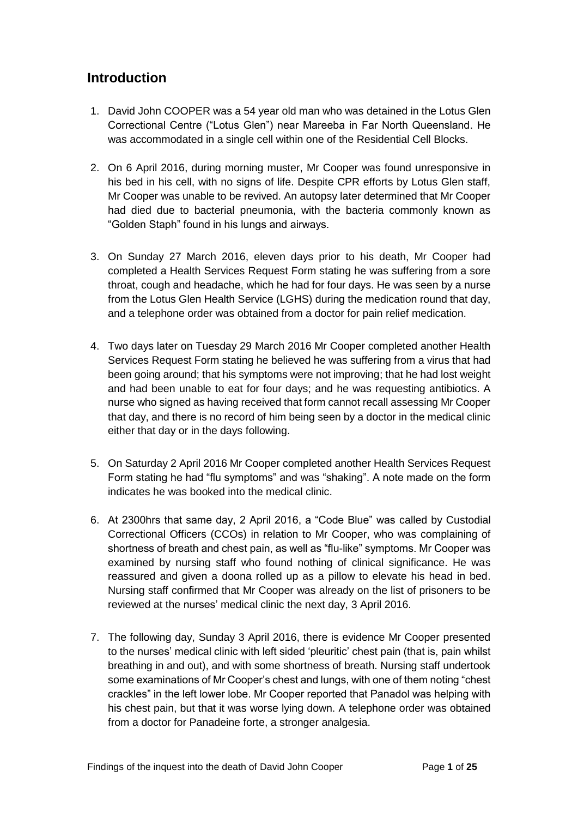## <span id="page-2-0"></span>**Introduction**

- 1. David John COOPER was a 54 year old man who was detained in the Lotus Glen Correctional Centre ("Lotus Glen") near Mareeba in Far North Queensland. He was accommodated in a single cell within one of the Residential Cell Blocks.
- 2. On 6 April 2016, during morning muster, Mr Cooper was found unresponsive in his bed in his cell, with no signs of life. Despite CPR efforts by Lotus Glen staff, Mr Cooper was unable to be revived. An autopsy later determined that Mr Cooper had died due to bacterial pneumonia, with the bacteria commonly known as "Golden Staph" found in his lungs and airways.
- 3. On Sunday 27 March 2016, eleven days prior to his death, Mr Cooper had completed a Health Services Request Form stating he was suffering from a sore throat, cough and headache, which he had for four days. He was seen by a nurse from the Lotus Glen Health Service (LGHS) during the medication round that day, and a telephone order was obtained from a doctor for pain relief medication.
- 4. Two days later on Tuesday 29 March 2016 Mr Cooper completed another Health Services Request Form stating he believed he was suffering from a virus that had been going around; that his symptoms were not improving; that he had lost weight and had been unable to eat for four days; and he was requesting antibiotics. A nurse who signed as having received that form cannot recall assessing Mr Cooper that day, and there is no record of him being seen by a doctor in the medical clinic either that day or in the days following.
- 5. On Saturday 2 April 2016 Mr Cooper completed another Health Services Request Form stating he had "flu symptoms" and was "shaking". A note made on the form indicates he was booked into the medical clinic.
- 6. At 2300hrs that same day, 2 April 2016, a "Code Blue" was called by Custodial Correctional Officers (CCOs) in relation to Mr Cooper, who was complaining of shortness of breath and chest pain, as well as "flu-like" symptoms. Mr Cooper was examined by nursing staff who found nothing of clinical significance. He was reassured and given a doona rolled up as a pillow to elevate his head in bed. Nursing staff confirmed that Mr Cooper was already on the list of prisoners to be reviewed at the nurses' medical clinic the next day, 3 April 2016.
- 7. The following day, Sunday 3 April 2016, there is evidence Mr Cooper presented to the nurses' medical clinic with left sided 'pleuritic' chest pain (that is, pain whilst breathing in and out), and with some shortness of breath. Nursing staff undertook some examinations of Mr Cooper's chest and lungs, with one of them noting "chest crackles" in the left lower lobe. Mr Cooper reported that Panadol was helping with his chest pain, but that it was worse lying down. A telephone order was obtained from a doctor for Panadeine forte, a stronger analgesia.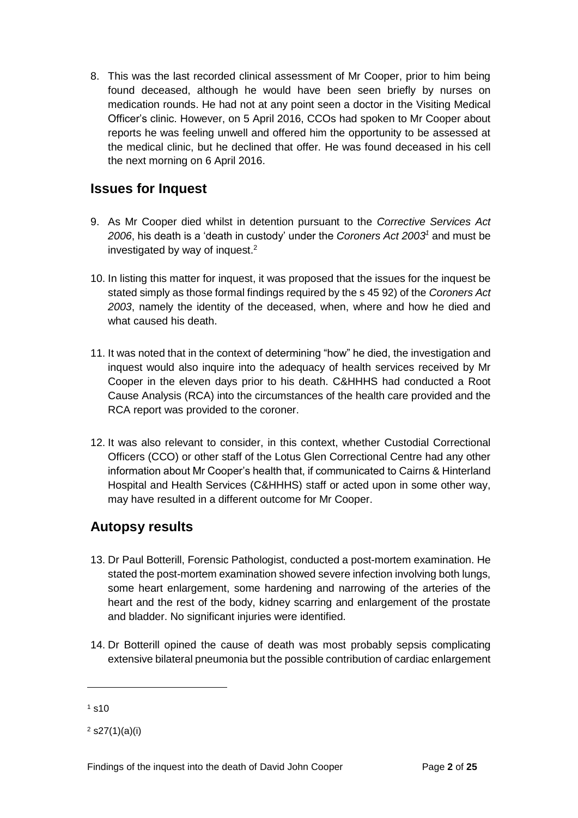8. This was the last recorded clinical assessment of Mr Cooper, prior to him being found deceased, although he would have been seen briefly by nurses on medication rounds. He had not at any point seen a doctor in the Visiting Medical Officer's clinic. However, on 5 April 2016, CCOs had spoken to Mr Cooper about reports he was feeling unwell and offered him the opportunity to be assessed at the medical clinic, but he declined that offer. He was found deceased in his cell the next morning on 6 April 2016.

## <span id="page-3-0"></span>**Issues for Inquest**

- 9. As Mr Cooper died whilst in detention pursuant to the *Corrective Services Act 2006*, his death is a 'death in custody' under the *Coroners Act 2003<sup>1</sup>* and must be investigated by way of inquest.<sup>2</sup>
- 10. In listing this matter for inquest, it was proposed that the issues for the inquest be stated simply as those formal findings required by the s 45 92) of the *Coroners Act 2003*, namely the identity of the deceased, when, where and how he died and what caused his death.
- 11. It was noted that in the context of determining "how" he died, the investigation and inquest would also inquire into the adequacy of health services received by Mr Cooper in the eleven days prior to his death. C&HHHS had conducted a Root Cause Analysis (RCA) into the circumstances of the health care provided and the RCA report was provided to the coroner.
- 12. It was also relevant to consider, in this context, whether Custodial Correctional Officers (CCO) or other staff of the Lotus Glen Correctional Centre had any other information about Mr Cooper's health that, if communicated to Cairns & Hinterland Hospital and Health Services (C&HHHS) staff or acted upon in some other way, may have resulted in a different outcome for Mr Cooper.

## <span id="page-3-1"></span>**Autopsy results**

- 13. Dr Paul Botterill, Forensic Pathologist, conducted a post-mortem examination. He stated the post-mortem examination showed severe infection involving both lungs, some heart enlargement, some hardening and narrowing of the arteries of the heart and the rest of the body, kidney scarring and enlargement of the prostate and bladder. No significant injuries were identified.
- 14. Dr Botterill opined the cause of death was most probably sepsis complicating extensive bilateral pneumonia but the possible contribution of cardiac enlargement

l

 $1 \text{ s}10$ 

 $2$  s27(1)(a)(i)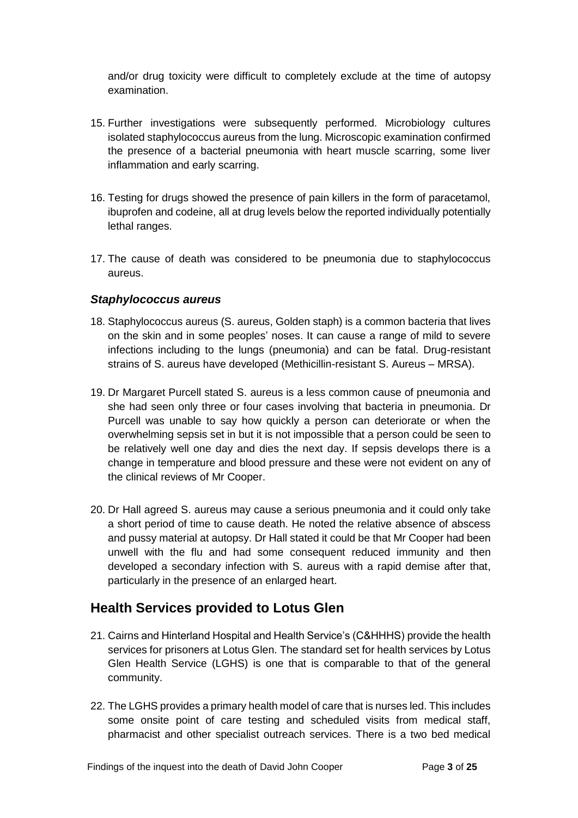and/or drug toxicity were difficult to completely exclude at the time of autopsy examination.

- 15. Further investigations were subsequently performed. Microbiology cultures isolated staphylococcus aureus from the lung. Microscopic examination confirmed the presence of a bacterial pneumonia with heart muscle scarring, some liver inflammation and early scarring.
- 16. Testing for drugs showed the presence of pain killers in the form of paracetamol, ibuprofen and codeine, all at drug levels below the reported individually potentially lethal ranges.
- 17. The cause of death was considered to be pneumonia due to staphylococcus aureus.

#### <span id="page-4-0"></span>*Staphylococcus aureus*

- 18. Staphylococcus aureus (S. aureus, Golden staph) is a common bacteria that lives on the skin and in some peoples' noses. It can cause a range of mild to severe infections including to the lungs (pneumonia) and can be fatal. Drug-resistant strains of S. aureus have developed (Methicillin-resistant S. Aureus – MRSA).
- 19. Dr Margaret Purcell stated S. aureus is a less common cause of pneumonia and she had seen only three or four cases involving that bacteria in pneumonia. Dr Purcell was unable to say how quickly a person can deteriorate or when the overwhelming sepsis set in but it is not impossible that a person could be seen to be relatively well one day and dies the next day. If sepsis develops there is a change in temperature and blood pressure and these were not evident on any of the clinical reviews of Mr Cooper.
- 20. Dr Hall agreed S. aureus may cause a serious pneumonia and it could only take a short period of time to cause death. He noted the relative absence of abscess and pussy material at autopsy. Dr Hall stated it could be that Mr Cooper had been unwell with the flu and had some consequent reduced immunity and then developed a secondary infection with S. aureus with a rapid demise after that, particularly in the presence of an enlarged heart.

## <span id="page-4-1"></span>**Health Services provided to Lotus Glen**

- 21. Cairns and Hinterland Hospital and Health Service's (C&HHHS) provide the health services for prisoners at Lotus Glen. The standard set for health services by Lotus Glen Health Service (LGHS) is one that is comparable to that of the general community.
- 22. The LGHS provides a primary health model of care that is nurses led. This includes some onsite point of care testing and scheduled visits from medical staff, pharmacist and other specialist outreach services. There is a two bed medical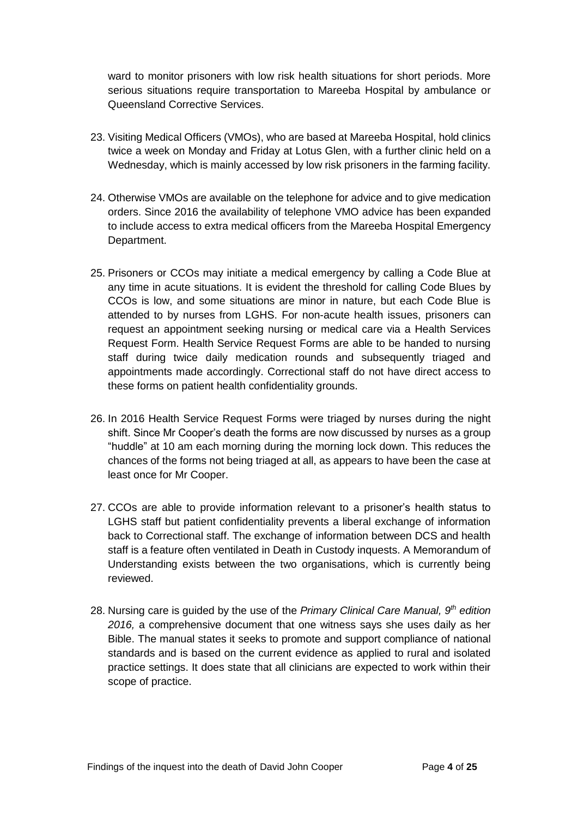ward to monitor prisoners with low risk health situations for short periods. More serious situations require transportation to Mareeba Hospital by ambulance or Queensland Corrective Services.

- 23. Visiting Medical Officers (VMOs), who are based at Mareeba Hospital, hold clinics twice a week on Monday and Friday at Lotus Glen, with a further clinic held on a Wednesday, which is mainly accessed by low risk prisoners in the farming facility.
- 24. Otherwise VMOs are available on the telephone for advice and to give medication orders. Since 2016 the availability of telephone VMO advice has been expanded to include access to extra medical officers from the Mareeba Hospital Emergency Department.
- 25. Prisoners or CCOs may initiate a medical emergency by calling a Code Blue at any time in acute situations. It is evident the threshold for calling Code Blues by CCOs is low, and some situations are minor in nature, but each Code Blue is attended to by nurses from LGHS. For non-acute health issues, prisoners can request an appointment seeking nursing or medical care via a Health Services Request Form. Health Service Request Forms are able to be handed to nursing staff during twice daily medication rounds and subsequently triaged and appointments made accordingly. Correctional staff do not have direct access to these forms on patient health confidentiality grounds.
- 26. In 2016 Health Service Request Forms were triaged by nurses during the night shift. Since Mr Cooper's death the forms are now discussed by nurses as a group "huddle" at 10 am each morning during the morning lock down. This reduces the chances of the forms not being triaged at all, as appears to have been the case at least once for Mr Cooper.
- 27. CCOs are able to provide information relevant to a prisoner's health status to LGHS staff but patient confidentiality prevents a liberal exchange of information back to Correctional staff. The exchange of information between DCS and health staff is a feature often ventilated in Death in Custody inquests. A Memorandum of Understanding exists between the two organisations, which is currently being reviewed.
- 28. Nursing care is guided by the use of the *Primary Clinical Care Manual, 9th edition 2016,* a comprehensive document that one witness says she uses daily as her Bible. The manual states it seeks to promote and support compliance of national standards and is based on the current evidence as applied to rural and isolated practice settings. It does state that all clinicians are expected to work within their scope of practice.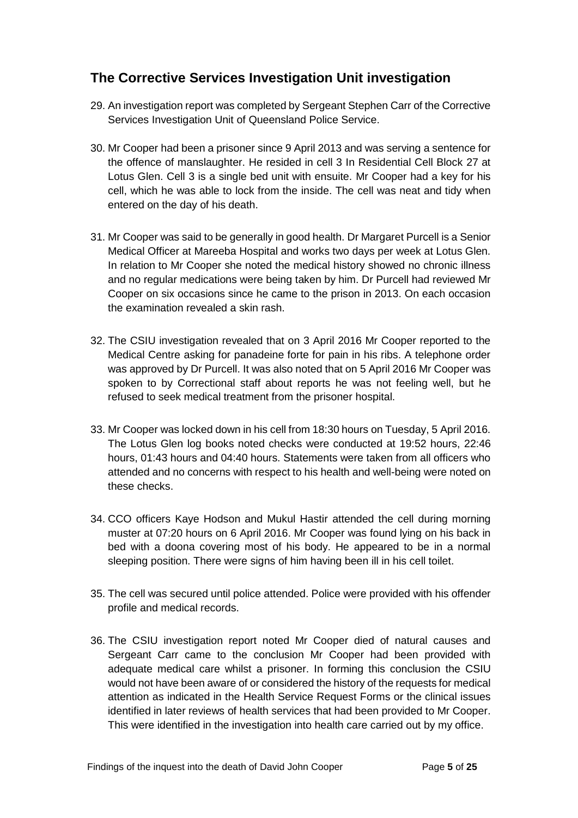## <span id="page-6-0"></span>**The Corrective Services Investigation Unit investigation**

- 29. An investigation report was completed by Sergeant Stephen Carr of the Corrective Services Investigation Unit of Queensland Police Service.
- 30. Mr Cooper had been a prisoner since 9 April 2013 and was serving a sentence for the offence of manslaughter. He resided in cell 3 In Residential Cell Block 27 at Lotus Glen. Cell 3 is a single bed unit with ensuite. Mr Cooper had a key for his cell, which he was able to lock from the inside. The cell was neat and tidy when entered on the day of his death.
- 31. Mr Cooper was said to be generally in good health. Dr Margaret Purcell is a Senior Medical Officer at Mareeba Hospital and works two days per week at Lotus Glen. In relation to Mr Cooper she noted the medical history showed no chronic illness and no regular medications were being taken by him. Dr Purcell had reviewed Mr Cooper on six occasions since he came to the prison in 2013. On each occasion the examination revealed a skin rash.
- 32. The CSIU investigation revealed that on 3 April 2016 Mr Cooper reported to the Medical Centre asking for panadeine forte for pain in his ribs. A telephone order was approved by Dr Purcell. It was also noted that on 5 April 2016 Mr Cooper was spoken to by Correctional staff about reports he was not feeling well, but he refused to seek medical treatment from the prisoner hospital.
- 33. Mr Cooper was locked down in his cell from 18:30 hours on Tuesday, 5 April 2016. The Lotus Glen log books noted checks were conducted at 19:52 hours, 22:46 hours, 01:43 hours and 04:40 hours. Statements were taken from all officers who attended and no concerns with respect to his health and well-being were noted on these checks.
- 34. CCO officers Kaye Hodson and Mukul Hastir attended the cell during morning muster at 07:20 hours on 6 April 2016. Mr Cooper was found lying on his back in bed with a doona covering most of his body. He appeared to be in a normal sleeping position. There were signs of him having been ill in his cell toilet.
- 35. The cell was secured until police attended. Police were provided with his offender profile and medical records.
- 36. The CSIU investigation report noted Mr Cooper died of natural causes and Sergeant Carr came to the conclusion Mr Cooper had been provided with adequate medical care whilst a prisoner. In forming this conclusion the CSIU would not have been aware of or considered the history of the requests for medical attention as indicated in the Health Service Request Forms or the clinical issues identified in later reviews of health services that had been provided to Mr Cooper. This were identified in the investigation into health care carried out by my office.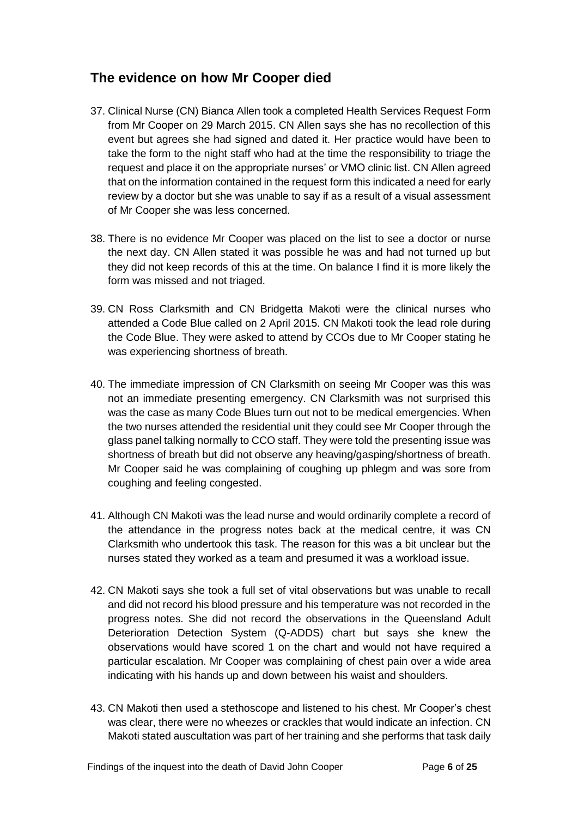## <span id="page-7-0"></span>**The evidence on how Mr Cooper died**

- 37. Clinical Nurse (CN) Bianca Allen took a completed Health Services Request Form from Mr Cooper on 29 March 2015. CN Allen says she has no recollection of this event but agrees she had signed and dated it. Her practice would have been to take the form to the night staff who had at the time the responsibility to triage the request and place it on the appropriate nurses' or VMO clinic list. CN Allen agreed that on the information contained in the request form this indicated a need for early review by a doctor but she was unable to say if as a result of a visual assessment of Mr Cooper she was less concerned.
- 38. There is no evidence Mr Cooper was placed on the list to see a doctor or nurse the next day. CN Allen stated it was possible he was and had not turned up but they did not keep records of this at the time. On balance I find it is more likely the form was missed and not triaged.
- 39. CN Ross Clarksmith and CN Bridgetta Makoti were the clinical nurses who attended a Code Blue called on 2 April 2015. CN Makoti took the lead role during the Code Blue. They were asked to attend by CCOs due to Mr Cooper stating he was experiencing shortness of breath.
- 40. The immediate impression of CN Clarksmith on seeing Mr Cooper was this was not an immediate presenting emergency. CN Clarksmith was not surprised this was the case as many Code Blues turn out not to be medical emergencies. When the two nurses attended the residential unit they could see Mr Cooper through the glass panel talking normally to CCO staff. They were told the presenting issue was shortness of breath but did not observe any heaving/gasping/shortness of breath. Mr Cooper said he was complaining of coughing up phlegm and was sore from coughing and feeling congested.
- 41. Although CN Makoti was the lead nurse and would ordinarily complete a record of the attendance in the progress notes back at the medical centre, it was CN Clarksmith who undertook this task. The reason for this was a bit unclear but the nurses stated they worked as a team and presumed it was a workload issue.
- 42. CN Makoti says she took a full set of vital observations but was unable to recall and did not record his blood pressure and his temperature was not recorded in the progress notes. She did not record the observations in the Queensland Adult Deterioration Detection System (Q-ADDS) chart but says she knew the observations would have scored 1 on the chart and would not have required a particular escalation. Mr Cooper was complaining of chest pain over a wide area indicating with his hands up and down between his waist and shoulders.
- 43. CN Makoti then used a stethoscope and listened to his chest. Mr Cooper's chest was clear, there were no wheezes or crackles that would indicate an infection. CN Makoti stated auscultation was part of her training and she performs that task daily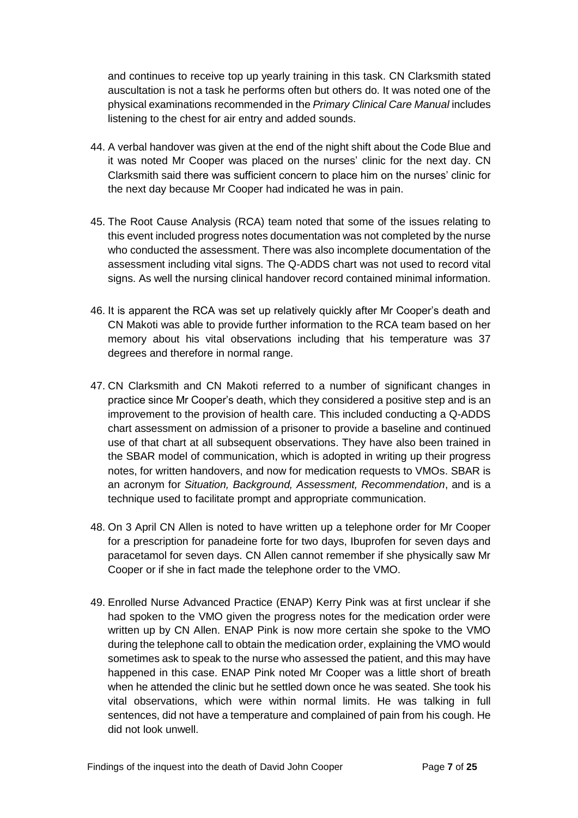and continues to receive top up yearly training in this task. CN Clarksmith stated auscultation is not a task he performs often but others do. It was noted one of the physical examinations recommended in the *Primary Clinical Care Manual* includes listening to the chest for air entry and added sounds.

- 44. A verbal handover was given at the end of the night shift about the Code Blue and it was noted Mr Cooper was placed on the nurses' clinic for the next day. CN Clarksmith said there was sufficient concern to place him on the nurses' clinic for the next day because Mr Cooper had indicated he was in pain.
- 45. The Root Cause Analysis (RCA) team noted that some of the issues relating to this event included progress notes documentation was not completed by the nurse who conducted the assessment. There was also incomplete documentation of the assessment including vital signs. The Q-ADDS chart was not used to record vital signs. As well the nursing clinical handover record contained minimal information.
- 46. It is apparent the RCA was set up relatively quickly after Mr Cooper's death and CN Makoti was able to provide further information to the RCA team based on her memory about his vital observations including that his temperature was 37 degrees and therefore in normal range.
- 47. CN Clarksmith and CN Makoti referred to a number of significant changes in practice since Mr Cooper's death, which they considered a positive step and is an improvement to the provision of health care. This included conducting a Q-ADDS chart assessment on admission of a prisoner to provide a baseline and continued use of that chart at all subsequent observations. They have also been trained in the SBAR model of communication, which is adopted in writing up their progress notes, for written handovers, and now for medication requests to VMOs. SBAR is an acronym for *Situation, Background, Assessment, Recommendation*, and is a technique used to facilitate prompt and appropriate communication.
- 48. On 3 April CN Allen is noted to have written up a telephone order for Mr Cooper for a prescription for panadeine forte for two days, Ibuprofen for seven days and paracetamol for seven days. CN Allen cannot remember if she physically saw Mr Cooper or if she in fact made the telephone order to the VMO.
- 49. Enrolled Nurse Advanced Practice (ENAP) Kerry Pink was at first unclear if she had spoken to the VMO given the progress notes for the medication order were written up by CN Allen. ENAP Pink is now more certain she spoke to the VMO during the telephone call to obtain the medication order, explaining the VMO would sometimes ask to speak to the nurse who assessed the patient, and this may have happened in this case. ENAP Pink noted Mr Cooper was a little short of breath when he attended the clinic but he settled down once he was seated. She took his vital observations, which were within normal limits. He was talking in full sentences, did not have a temperature and complained of pain from his cough. He did not look unwell.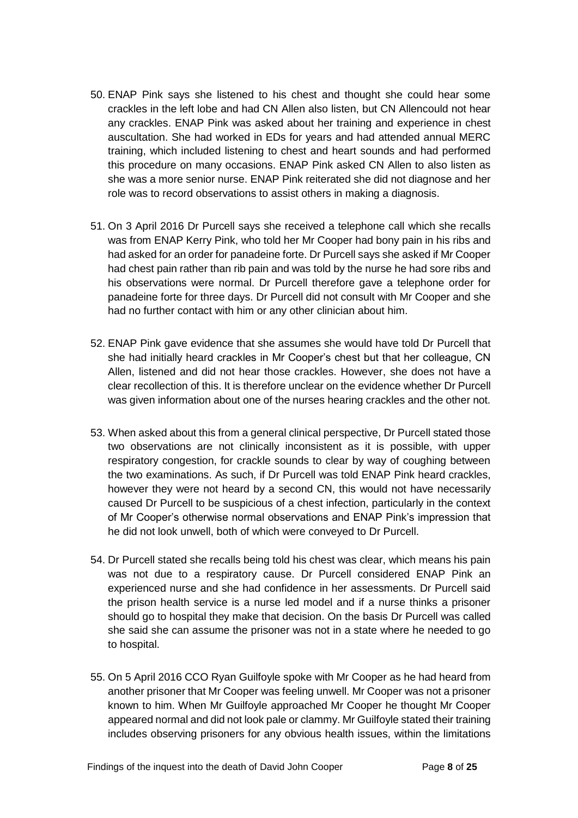- 50. ENAP Pink says she listened to his chest and thought she could hear some crackles in the left lobe and had CN Allen also listen, but CN Allencould not hear any crackles. ENAP Pink was asked about her training and experience in chest auscultation. She had worked in EDs for years and had attended annual MERC training, which included listening to chest and heart sounds and had performed this procedure on many occasions. ENAP Pink asked CN Allen to also listen as she was a more senior nurse. ENAP Pink reiterated she did not diagnose and her role was to record observations to assist others in making a diagnosis.
- 51. On 3 April 2016 Dr Purcell says she received a telephone call which she recalls was from ENAP Kerry Pink, who told her Mr Cooper had bony pain in his ribs and had asked for an order for panadeine forte. Dr Purcell says she asked if Mr Cooper had chest pain rather than rib pain and was told by the nurse he had sore ribs and his observations were normal. Dr Purcell therefore gave a telephone order for panadeine forte for three days. Dr Purcell did not consult with Mr Cooper and she had no further contact with him or any other clinician about him.
- 52. ENAP Pink gave evidence that she assumes she would have told Dr Purcell that she had initially heard crackles in Mr Cooper's chest but that her colleague, CN Allen, listened and did not hear those crackles. However, she does not have a clear recollection of this. It is therefore unclear on the evidence whether Dr Purcell was given information about one of the nurses hearing crackles and the other not.
- 53. When asked about this from a general clinical perspective, Dr Purcell stated those two observations are not clinically inconsistent as it is possible, with upper respiratory congestion, for crackle sounds to clear by way of coughing between the two examinations. As such, if Dr Purcell was told ENAP Pink heard crackles, however they were not heard by a second CN, this would not have necessarily caused Dr Purcell to be suspicious of a chest infection, particularly in the context of Mr Cooper's otherwise normal observations and ENAP Pink's impression that he did not look unwell, both of which were conveyed to Dr Purcell.
- 54. Dr Purcell stated she recalls being told his chest was clear, which means his pain was not due to a respiratory cause. Dr Purcell considered ENAP Pink an experienced nurse and she had confidence in her assessments. Dr Purcell said the prison health service is a nurse led model and if a nurse thinks a prisoner should go to hospital they make that decision. On the basis Dr Purcell was called she said she can assume the prisoner was not in a state where he needed to go to hospital.
- 55. On 5 April 2016 CCO Ryan Guilfoyle spoke with Mr Cooper as he had heard from another prisoner that Mr Cooper was feeling unwell. Mr Cooper was not a prisoner known to him. When Mr Guilfoyle approached Mr Cooper he thought Mr Cooper appeared normal and did not look pale or clammy. Mr Guilfoyle stated their training includes observing prisoners for any obvious health issues, within the limitations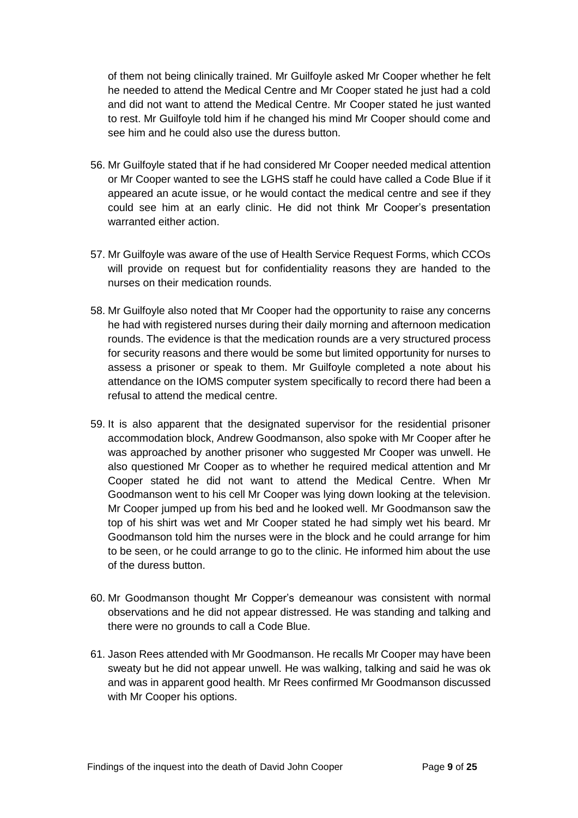of them not being clinically trained. Mr Guilfoyle asked Mr Cooper whether he felt he needed to attend the Medical Centre and Mr Cooper stated he just had a cold and did not want to attend the Medical Centre. Mr Cooper stated he just wanted to rest. Mr Guilfoyle told him if he changed his mind Mr Cooper should come and see him and he could also use the duress button.

- 56. Mr Guilfoyle stated that if he had considered Mr Cooper needed medical attention or Mr Cooper wanted to see the LGHS staff he could have called a Code Blue if it appeared an acute issue, or he would contact the medical centre and see if they could see him at an early clinic. He did not think Mr Cooper's presentation warranted either action.
- 57. Mr Guilfoyle was aware of the use of Health Service Request Forms, which CCOs will provide on request but for confidentiality reasons they are handed to the nurses on their medication rounds.
- 58. Mr Guilfoyle also noted that Mr Cooper had the opportunity to raise any concerns he had with registered nurses during their daily morning and afternoon medication rounds. The evidence is that the medication rounds are a very structured process for security reasons and there would be some but limited opportunity for nurses to assess a prisoner or speak to them. Mr Guilfoyle completed a note about his attendance on the IOMS computer system specifically to record there had been a refusal to attend the medical centre.
- 59. It is also apparent that the designated supervisor for the residential prisoner accommodation block, Andrew Goodmanson, also spoke with Mr Cooper after he was approached by another prisoner who suggested Mr Cooper was unwell. He also questioned Mr Cooper as to whether he required medical attention and Mr Cooper stated he did not want to attend the Medical Centre. When Mr Goodmanson went to his cell Mr Cooper was lying down looking at the television. Mr Cooper jumped up from his bed and he looked well. Mr Goodmanson saw the top of his shirt was wet and Mr Cooper stated he had simply wet his beard. Mr Goodmanson told him the nurses were in the block and he could arrange for him to be seen, or he could arrange to go to the clinic. He informed him about the use of the duress button.
- 60. Mr Goodmanson thought Mr Copper's demeanour was consistent with normal observations and he did not appear distressed. He was standing and talking and there were no grounds to call a Code Blue.
- 61. Jason Rees attended with Mr Goodmanson. He recalls Mr Cooper may have been sweaty but he did not appear unwell. He was walking, talking and said he was ok and was in apparent good health. Mr Rees confirmed Mr Goodmanson discussed with Mr Cooper his options.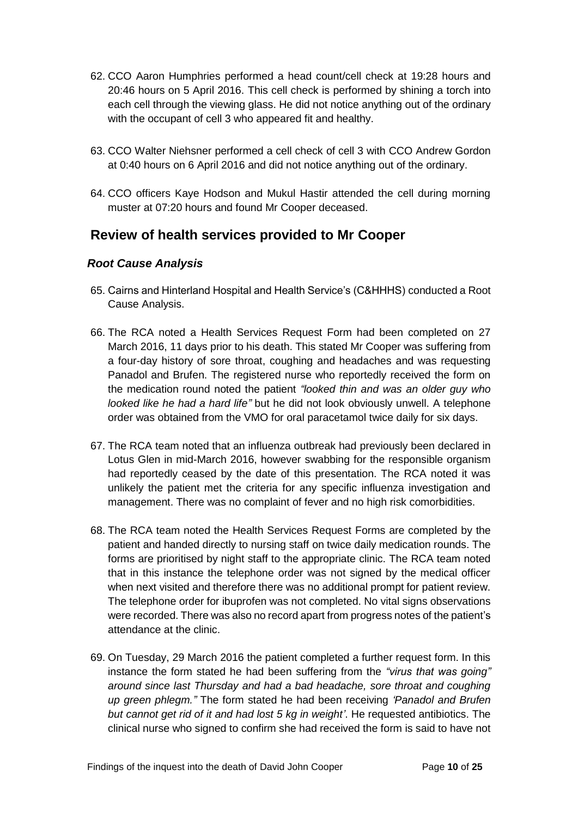- 62. CCO Aaron Humphries performed a head count/cell check at 19:28 hours and 20:46 hours on 5 April 2016. This cell check is performed by shining a torch into each cell through the viewing glass. He did not notice anything out of the ordinary with the occupant of cell 3 who appeared fit and healthy.
- 63. CCO Walter Niehsner performed a cell check of cell 3 with CCO Andrew Gordon at 0:40 hours on 6 April 2016 and did not notice anything out of the ordinary.
- 64. CCO officers Kaye Hodson and Mukul Hastir attended the cell during morning muster at 07:20 hours and found Mr Cooper deceased.

## <span id="page-11-0"></span>**Review of health services provided to Mr Cooper**

#### <span id="page-11-1"></span>*Root Cause Analysis*

- 65. Cairns and Hinterland Hospital and Health Service's (C&HHHS) conducted a Root Cause Analysis.
- 66. The RCA noted a Health Services Request Form had been completed on 27 March 2016, 11 days prior to his death. This stated Mr Cooper was suffering from a four-day history of sore throat, coughing and headaches and was requesting Panadol and Brufen. The registered nurse who reportedly received the form on the medication round noted the patient *"looked thin and was an older guy who looked like he had a hard life"* but he did not look obviously unwell. A telephone order was obtained from the VMO for oral paracetamol twice daily for six days.
- 67. The RCA team noted that an influenza outbreak had previously been declared in Lotus Glen in mid-March 2016, however swabbing for the responsible organism had reportedly ceased by the date of this presentation. The RCA noted it was unlikely the patient met the criteria for any specific influenza investigation and management. There was no complaint of fever and no high risk comorbidities.
- 68. The RCA team noted the Health Services Request Forms are completed by the patient and handed directly to nursing staff on twice daily medication rounds. The forms are prioritised by night staff to the appropriate clinic. The RCA team noted that in this instance the telephone order was not signed by the medical officer when next visited and therefore there was no additional prompt for patient review. The telephone order for ibuprofen was not completed. No vital signs observations were recorded. There was also no record apart from progress notes of the patient's attendance at the clinic.
- 69. On Tuesday, 29 March 2016 the patient completed a further request form. In this instance the form stated he had been suffering from the *"virus that was going" around since last Thursday and had a bad headache, sore throat and coughing up green phlegm."* The form stated he had been receiving *'Panadol and Brufen but cannot get rid of it and had lost 5 kg in weight'*. He requested antibiotics. The clinical nurse who signed to confirm she had received the form is said to have not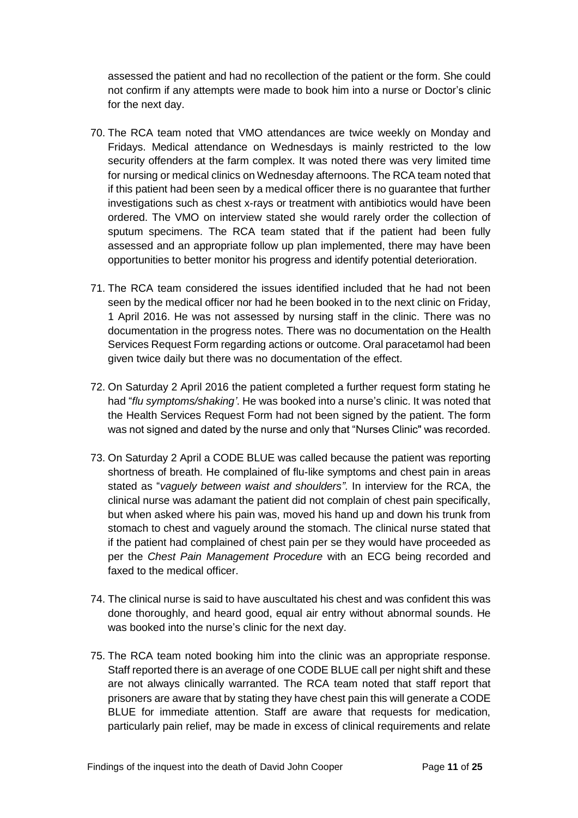assessed the patient and had no recollection of the patient or the form. She could not confirm if any attempts were made to book him into a nurse or Doctor's clinic for the next day.

- 70. The RCA team noted that VMO attendances are twice weekly on Monday and Fridays. Medical attendance on Wednesdays is mainly restricted to the low security offenders at the farm complex. It was noted there was very limited time for nursing or medical clinics on Wednesday afternoons. The RCA team noted that if this patient had been seen by a medical officer there is no guarantee that further investigations such as chest x-rays or treatment with antibiotics would have been ordered. The VMO on interview stated she would rarely order the collection of sputum specimens. The RCA team stated that if the patient had been fully assessed and an appropriate follow up plan implemented, there may have been opportunities to better monitor his progress and identify potential deterioration.
- 71. The RCA team considered the issues identified included that he had not been seen by the medical officer nor had he been booked in to the next clinic on Friday, 1 April 2016. He was not assessed by nursing staff in the clinic. There was no documentation in the progress notes. There was no documentation on the Health Services Request Form regarding actions or outcome. Oral paracetamol had been given twice daily but there was no documentation of the effect.
- 72. On Saturday 2 April 2016 the patient completed a further request form stating he had "*flu symptoms/shaking'*. He was booked into a nurse's clinic. It was noted that the Health Services Request Form had not been signed by the patient. The form was not signed and dated by the nurse and only that "Nurses Clinic" was recorded.
- 73. On Saturday 2 April a CODE BLUE was called because the patient was reporting shortness of breath. He complained of flu-like symptoms and chest pain in areas stated as "*vaguely between waist and shoulders"*. In interview for the RCA, the clinical nurse was adamant the patient did not complain of chest pain specifically, but when asked where his pain was, moved his hand up and down his trunk from stomach to chest and vaguely around the stomach. The clinical nurse stated that if the patient had complained of chest pain per se they would have proceeded as per the *Chest Pain Management Procedure* with an ECG being recorded and faxed to the medical officer.
- 74. The clinical nurse is said to have auscultated his chest and was confident this was done thoroughly, and heard good, equal air entry without abnormal sounds. He was booked into the nurse's clinic for the next day.
- 75. The RCA team noted booking him into the clinic was an appropriate response. Staff reported there is an average of one CODE BLUE call per night shift and these are not always clinically warranted. The RCA team noted that staff report that prisoners are aware that by stating they have chest pain this will generate a CODE BLUE for immediate attention. Staff are aware that requests for medication, particularly pain relief, may be made in excess of clinical requirements and relate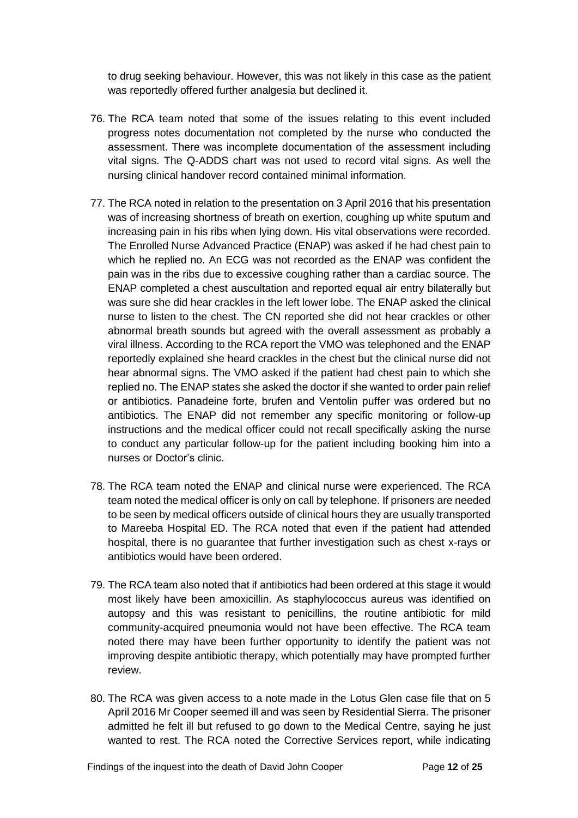to drug seeking behaviour. However, this was not likely in this case as the patient was reportedly offered further analgesia but declined it.

- 76. The RCA team noted that some of the issues relating to this event included progress notes documentation not completed by the nurse who conducted the assessment. There was incomplete documentation of the assessment including vital signs. The Q-ADDS chart was not used to record vital signs. As well the nursing clinical handover record contained minimal information.
- 77. The RCA noted in relation to the presentation on 3 April 2016 that his presentation was of increasing shortness of breath on exertion, coughing up white sputum and increasing pain in his ribs when lying down. His vital observations were recorded. The Enrolled Nurse Advanced Practice (ENAP) was asked if he had chest pain to which he replied no. An ECG was not recorded as the ENAP was confident the pain was in the ribs due to excessive coughing rather than a cardiac source. The ENAP completed a chest auscultation and reported equal air entry bilaterally but was sure she did hear crackles in the left lower lobe. The ENAP asked the clinical nurse to listen to the chest. The CN reported she did not hear crackles or other abnormal breath sounds but agreed with the overall assessment as probably a viral illness. According to the RCA report the VMO was telephoned and the ENAP reportedly explained she heard crackles in the chest but the clinical nurse did not hear abnormal signs. The VMO asked if the patient had chest pain to which she replied no. The ENAP states she asked the doctor if she wanted to order pain relief or antibiotics. Panadeine forte, brufen and Ventolin puffer was ordered but no antibiotics. The ENAP did not remember any specific monitoring or follow-up instructions and the medical officer could not recall specifically asking the nurse to conduct any particular follow-up for the patient including booking him into a nurses or Doctor's clinic.
- 78. The RCA team noted the ENAP and clinical nurse were experienced. The RCA team noted the medical officer is only on call by telephone. If prisoners are needed to be seen by medical officers outside of clinical hours they are usually transported to Mareeba Hospital ED. The RCA noted that even if the patient had attended hospital, there is no guarantee that further investigation such as chest x-rays or antibiotics would have been ordered.
- 79. The RCA team also noted that if antibiotics had been ordered at this stage it would most likely have been amoxicillin. As staphylococcus aureus was identified on autopsy and this was resistant to penicillins, the routine antibiotic for mild community-acquired pneumonia would not have been effective. The RCA team noted there may have been further opportunity to identify the patient was not improving despite antibiotic therapy, which potentially may have prompted further review.
- 80. The RCA was given access to a note made in the Lotus Glen case file that on 5 April 2016 Mr Cooper seemed ill and was seen by Residential Sierra. The prisoner admitted he felt ill but refused to go down to the Medical Centre, saying he just wanted to rest. The RCA noted the Corrective Services report, while indicating

Findings of the inquest into the death of David John Cooper Page 12 of 25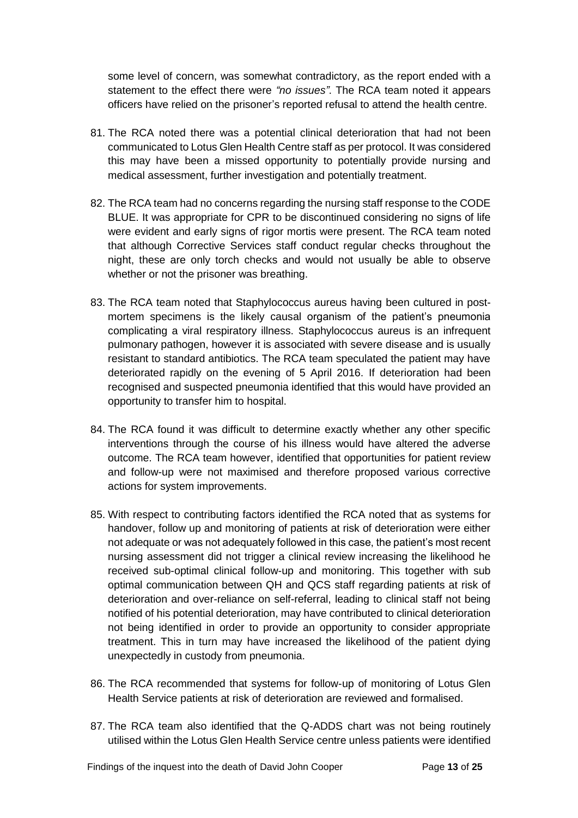some level of concern, was somewhat contradictory, as the report ended with a statement to the effect there were *"no issues"*. The RCA team noted it appears officers have relied on the prisoner's reported refusal to attend the health centre.

- 81. The RCA noted there was a potential clinical deterioration that had not been communicated to Lotus Glen Health Centre staff as per protocol. It was considered this may have been a missed opportunity to potentially provide nursing and medical assessment, further investigation and potentially treatment.
- 82. The RCA team had no concerns regarding the nursing staff response to the CODE BLUE. It was appropriate for CPR to be discontinued considering no signs of life were evident and early signs of rigor mortis were present. The RCA team noted that although Corrective Services staff conduct regular checks throughout the night, these are only torch checks and would not usually be able to observe whether or not the prisoner was breathing.
- 83. The RCA team noted that Staphylococcus aureus having been cultured in postmortem specimens is the likely causal organism of the patient's pneumonia complicating a viral respiratory illness. Staphylococcus aureus is an infrequent pulmonary pathogen, however it is associated with severe disease and is usually resistant to standard antibiotics. The RCA team speculated the patient may have deteriorated rapidly on the evening of 5 April 2016. If deterioration had been recognised and suspected pneumonia identified that this would have provided an opportunity to transfer him to hospital.
- 84. The RCA found it was difficult to determine exactly whether any other specific interventions through the course of his illness would have altered the adverse outcome. The RCA team however, identified that opportunities for patient review and follow-up were not maximised and therefore proposed various corrective actions for system improvements.
- 85. With respect to contributing factors identified the RCA noted that as systems for handover, follow up and monitoring of patients at risk of deterioration were either not adequate or was not adequately followed in this case, the patient's most recent nursing assessment did not trigger a clinical review increasing the likelihood he received sub-optimal clinical follow-up and monitoring. This together with sub optimal communication between QH and QCS staff regarding patients at risk of deterioration and over-reliance on self-referral, leading to clinical staff not being notified of his potential deterioration, may have contributed to clinical deterioration not being identified in order to provide an opportunity to consider appropriate treatment. This in turn may have increased the likelihood of the patient dying unexpectedly in custody from pneumonia.
- 86. The RCA recommended that systems for follow-up of monitoring of Lotus Glen Health Service patients at risk of deterioration are reviewed and formalised.
- 87. The RCA team also identified that the Q-ADDS chart was not being routinely utilised within the Lotus Glen Health Service centre unless patients were identified

Findings of the inquest into the death of David John Cooper Page 13 of 25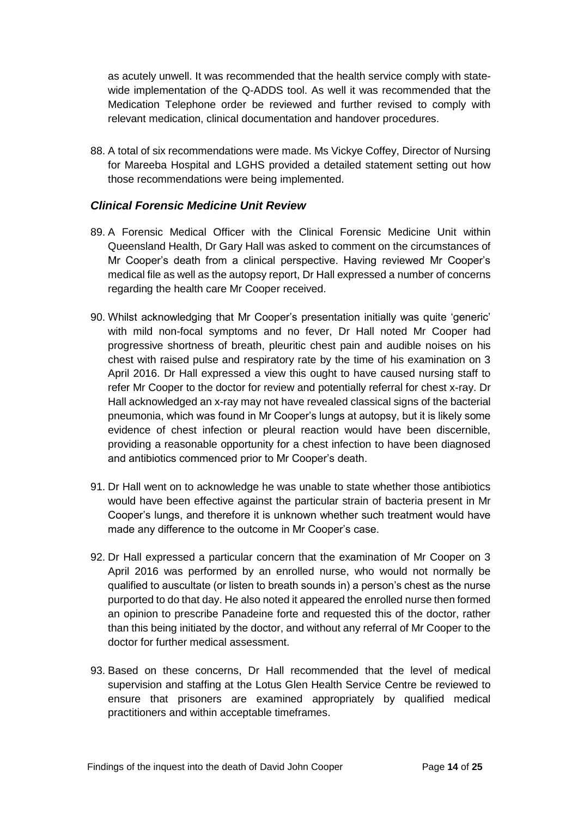as acutely unwell. It was recommended that the health service comply with statewide implementation of the Q-ADDS tool. As well it was recommended that the Medication Telephone order be reviewed and further revised to comply with relevant medication, clinical documentation and handover procedures.

88. A total of six recommendations were made. Ms Vickye Coffey, Director of Nursing for Mareeba Hospital and LGHS provided a detailed statement setting out how those recommendations were being implemented.

#### <span id="page-15-0"></span>*Clinical Forensic Medicine Unit Review*

- 89. A Forensic Medical Officer with the Clinical Forensic Medicine Unit within Queensland Health, Dr Gary Hall was asked to comment on the circumstances of Mr Cooper's death from a clinical perspective. Having reviewed Mr Cooper's medical file as well as the autopsy report, Dr Hall expressed a number of concerns regarding the health care Mr Cooper received.
- 90. Whilst acknowledging that Mr Cooper's presentation initially was quite 'generic' with mild non-focal symptoms and no fever, Dr Hall noted Mr Cooper had progressive shortness of breath, pleuritic chest pain and audible noises on his chest with raised pulse and respiratory rate by the time of his examination on 3 April 2016. Dr Hall expressed a view this ought to have caused nursing staff to refer Mr Cooper to the doctor for review and potentially referral for chest x-ray. Dr Hall acknowledged an x-ray may not have revealed classical signs of the bacterial pneumonia, which was found in Mr Cooper's lungs at autopsy, but it is likely some evidence of chest infection or pleural reaction would have been discernible, providing a reasonable opportunity for a chest infection to have been diagnosed and antibiotics commenced prior to Mr Cooper's death.
- 91. Dr Hall went on to acknowledge he was unable to state whether those antibiotics would have been effective against the particular strain of bacteria present in Mr Cooper's lungs, and therefore it is unknown whether such treatment would have made any difference to the outcome in Mr Cooper's case.
- 92. Dr Hall expressed a particular concern that the examination of Mr Cooper on 3 April 2016 was performed by an enrolled nurse, who would not normally be qualified to auscultate (or listen to breath sounds in) a person's chest as the nurse purported to do that day. He also noted it appeared the enrolled nurse then formed an opinion to prescribe Panadeine forte and requested this of the doctor, rather than this being initiated by the doctor, and without any referral of Mr Cooper to the doctor for further medical assessment.
- 93. Based on these concerns, Dr Hall recommended that the level of medical supervision and staffing at the Lotus Glen Health Service Centre be reviewed to ensure that prisoners are examined appropriately by qualified medical practitioners and within acceptable timeframes.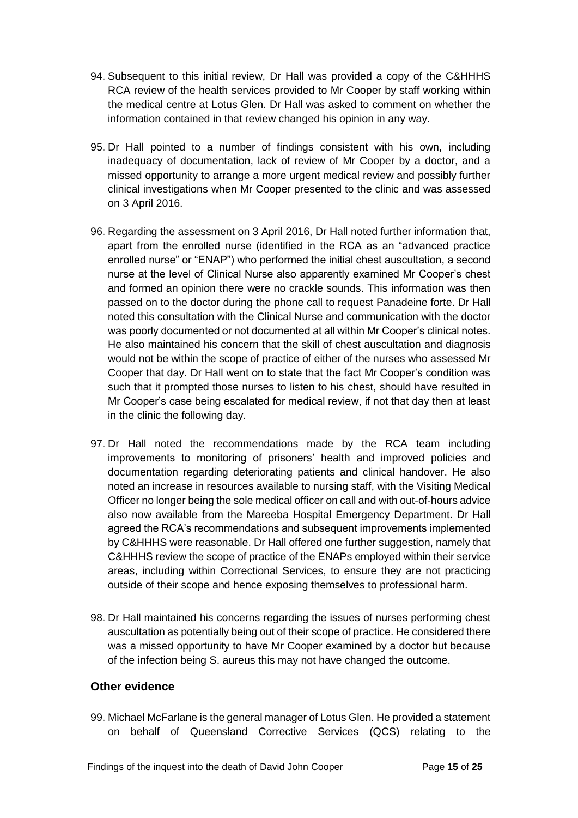- 94. Subsequent to this initial review, Dr Hall was provided a copy of the C&HHHS RCA review of the health services provided to Mr Cooper by staff working within the medical centre at Lotus Glen. Dr Hall was asked to comment on whether the information contained in that review changed his opinion in any way.
- 95. Dr Hall pointed to a number of findings consistent with his own, including inadequacy of documentation, lack of review of Mr Cooper by a doctor, and a missed opportunity to arrange a more urgent medical review and possibly further clinical investigations when Mr Cooper presented to the clinic and was assessed on 3 April 2016.
- 96. Regarding the assessment on 3 April 2016, Dr Hall noted further information that, apart from the enrolled nurse (identified in the RCA as an "advanced practice enrolled nurse" or "ENAP") who performed the initial chest auscultation, a second nurse at the level of Clinical Nurse also apparently examined Mr Cooper's chest and formed an opinion there were no crackle sounds. This information was then passed on to the doctor during the phone call to request Panadeine forte. Dr Hall noted this consultation with the Clinical Nurse and communication with the doctor was poorly documented or not documented at all within Mr Cooper's clinical notes. He also maintained his concern that the skill of chest auscultation and diagnosis would not be within the scope of practice of either of the nurses who assessed Mr Cooper that day. Dr Hall went on to state that the fact Mr Cooper's condition was such that it prompted those nurses to listen to his chest, should have resulted in Mr Cooper's case being escalated for medical review, if not that day then at least in the clinic the following day.
- 97. Dr Hall noted the recommendations made by the RCA team including improvements to monitoring of prisoners' health and improved policies and documentation regarding deteriorating patients and clinical handover. He also noted an increase in resources available to nursing staff, with the Visiting Medical Officer no longer being the sole medical officer on call and with out-of-hours advice also now available from the Mareeba Hospital Emergency Department. Dr Hall agreed the RCA's recommendations and subsequent improvements implemented by C&HHHS were reasonable. Dr Hall offered one further suggestion, namely that C&HHHS review the scope of practice of the ENAPs employed within their service areas, including within Correctional Services, to ensure they are not practicing outside of their scope and hence exposing themselves to professional harm.
- 98. Dr Hall maintained his concerns regarding the issues of nurses performing chest auscultation as potentially being out of their scope of practice. He considered there was a missed opportunity to have Mr Cooper examined by a doctor but because of the infection being S. aureus this may not have changed the outcome.

#### <span id="page-16-0"></span>**Other evidence**

99. Michael McFarlane is the general manager of Lotus Glen. He provided a statement on behalf of Queensland Corrective Services (QCS) relating to the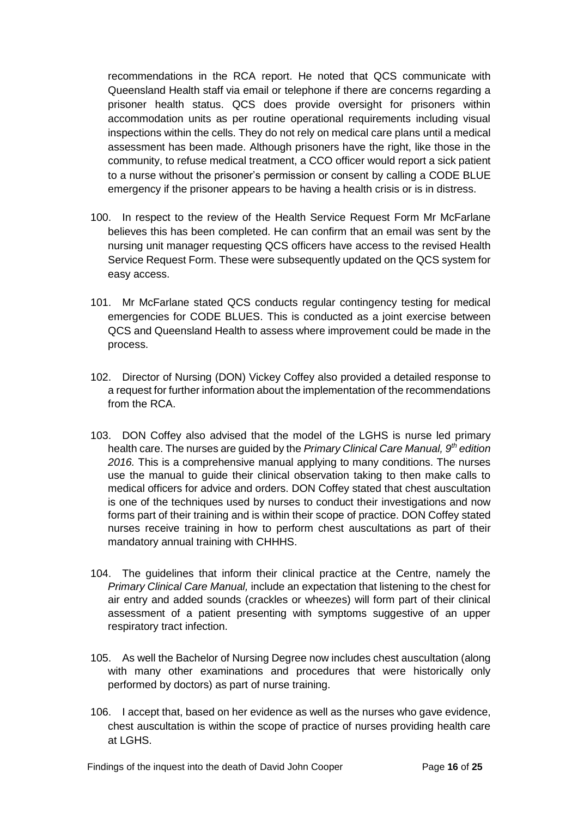recommendations in the RCA report. He noted that QCS communicate with Queensland Health staff via email or telephone if there are concerns regarding a prisoner health status. QCS does provide oversight for prisoners within accommodation units as per routine operational requirements including visual inspections within the cells. They do not rely on medical care plans until a medical assessment has been made. Although prisoners have the right, like those in the community, to refuse medical treatment, a CCO officer would report a sick patient to a nurse without the prisoner's permission or consent by calling a CODE BLUE emergency if the prisoner appears to be having a health crisis or is in distress.

- 100. In respect to the review of the Health Service Request Form Mr McFarlane believes this has been completed. He can confirm that an email was sent by the nursing unit manager requesting QCS officers have access to the revised Health Service Request Form. These were subsequently updated on the QCS system for easy access.
- 101. Mr McFarlane stated QCS conducts regular contingency testing for medical emergencies for CODE BLUES. This is conducted as a joint exercise between QCS and Queensland Health to assess where improvement could be made in the process.
- 102. Director of Nursing (DON) Vickey Coffey also provided a detailed response to a request for further information about the implementation of the recommendations from the RCA.
- 103. DON Coffey also advised that the model of the LGHS is nurse led primary health care. The nurses are guided by the *Primary Clinical Care Manual, 9th edition 2016.* This is a comprehensive manual applying to many conditions. The nurses use the manual to guide their clinical observation taking to then make calls to medical officers for advice and orders. DON Coffey stated that chest auscultation is one of the techniques used by nurses to conduct their investigations and now forms part of their training and is within their scope of practice. DON Coffey stated nurses receive training in how to perform chest auscultations as part of their mandatory annual training with CHHHS.
- 104. The guidelines that inform their clinical practice at the Centre, namely the *Primary Clinical Care Manual,* include an expectation that listening to the chest for air entry and added sounds (crackles or wheezes) will form part of their clinical assessment of a patient presenting with symptoms suggestive of an upper respiratory tract infection.
- 105. As well the Bachelor of Nursing Degree now includes chest auscultation (along with many other examinations and procedures that were historically only performed by doctors) as part of nurse training.
- 106. I accept that, based on her evidence as well as the nurses who gave evidence, chest auscultation is within the scope of practice of nurses providing health care at LGHS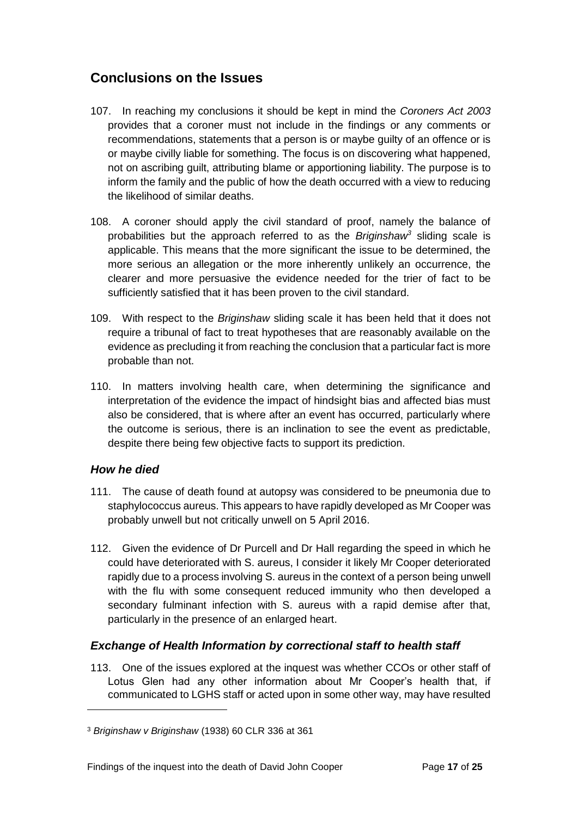## <span id="page-18-0"></span>**Conclusions on the Issues**

- 107. In reaching my conclusions it should be kept in mind the *Coroners Act 2003*  provides that a coroner must not include in the findings or any comments or recommendations, statements that a person is or maybe guilty of an offence or is or maybe civilly liable for something. The focus is on discovering what happened, not on ascribing guilt, attributing blame or apportioning liability. The purpose is to inform the family and the public of how the death occurred with a view to reducing the likelihood of similar deaths.
- 108. A coroner should apply the civil standard of proof, namely the balance of probabilities but the approach referred to as the *Briginshaw<sup>3</sup>* sliding scale is applicable. This means that the more significant the issue to be determined, the more serious an allegation or the more inherently unlikely an occurrence, the clearer and more persuasive the evidence needed for the trier of fact to be sufficiently satisfied that it has been proven to the civil standard.
- 109. With respect to the *Briginshaw* sliding scale it has been held that it does not require a tribunal of fact to treat hypotheses that are reasonably available on the evidence as precluding it from reaching the conclusion that a particular fact is more probable than not.
- 110. In matters involving health care, when determining the significance and interpretation of the evidence the impact of hindsight bias and affected bias must also be considered, that is where after an event has occurred, particularly where the outcome is serious, there is an inclination to see the event as predictable, despite there being few objective facts to support its prediction.

#### <span id="page-18-1"></span>*How he died*

l

- 111. The cause of death found at autopsy was considered to be pneumonia due to staphylococcus aureus. This appears to have rapidly developed as Mr Cooper was probably unwell but not critically unwell on 5 April 2016.
- 112. Given the evidence of Dr Purcell and Dr Hall regarding the speed in which he could have deteriorated with S. aureus, I consider it likely Mr Cooper deteriorated rapidly due to a process involving S. aureus in the context of a person being unwell with the flu with some consequent reduced immunity who then developed a secondary fulminant infection with S. aureus with a rapid demise after that, particularly in the presence of an enlarged heart.

#### <span id="page-18-2"></span>*Exchange of Health Information by correctional staff to health staff*

113. One of the issues explored at the inquest was whether CCOs or other staff of Lotus Glen had any other information about Mr Cooper's health that, if communicated to LGHS staff or acted upon in some other way, may have resulted

<sup>3</sup> *Briginshaw v Briginshaw* (1938) 60 CLR 336 at 361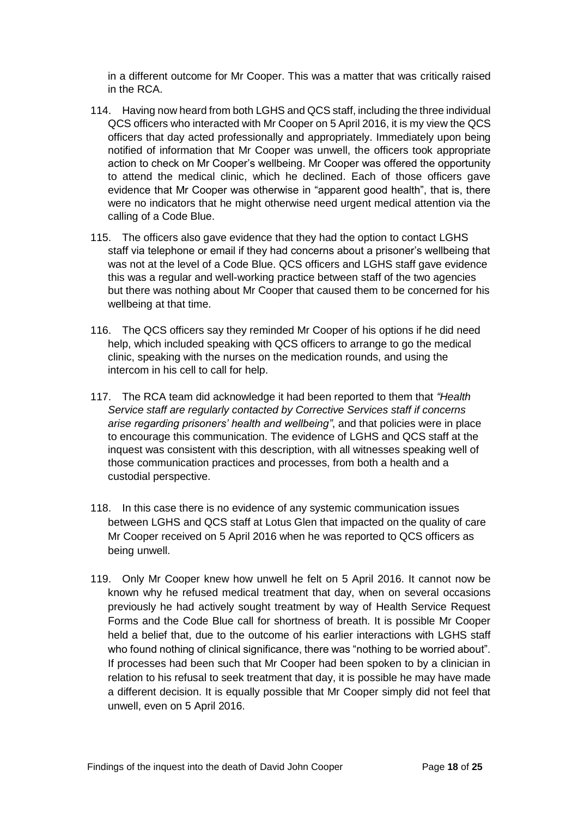in a different outcome for Mr Cooper. This was a matter that was critically raised in the RCA.

- 114. Having now heard from both LGHS and QCS staff, including the three individual QCS officers who interacted with Mr Cooper on 5 April 2016, it is my view the QCS officers that day acted professionally and appropriately. Immediately upon being notified of information that Mr Cooper was unwell, the officers took appropriate action to check on Mr Cooper's wellbeing. Mr Cooper was offered the opportunity to attend the medical clinic, which he declined. Each of those officers gave evidence that Mr Cooper was otherwise in "apparent good health", that is, there were no indicators that he might otherwise need urgent medical attention via the calling of a Code Blue.
- 115. The officers also gave evidence that they had the option to contact LGHS staff via telephone or email if they had concerns about a prisoner's wellbeing that was not at the level of a Code Blue. QCS officers and LGHS staff gave evidence this was a regular and well-working practice between staff of the two agencies but there was nothing about Mr Cooper that caused them to be concerned for his wellbeing at that time.
- 116. The QCS officers say they reminded Mr Cooper of his options if he did need help, which included speaking with QCS officers to arrange to go the medical clinic, speaking with the nurses on the medication rounds, and using the intercom in his cell to call for help.
- 117. The RCA team did acknowledge it had been reported to them that *"Health Service staff are regularly contacted by Corrective Services staff if concerns arise regarding prisoners' health and wellbeing"*, and that policies were in place to encourage this communication. The evidence of LGHS and QCS staff at the inquest was consistent with this description, with all witnesses speaking well of those communication practices and processes, from both a health and a custodial perspective.
- 118. In this case there is no evidence of any systemic communication issues between LGHS and QCS staff at Lotus Glen that impacted on the quality of care Mr Cooper received on 5 April 2016 when he was reported to QCS officers as being unwell.
- 119. Only Mr Cooper knew how unwell he felt on 5 April 2016. It cannot now be known why he refused medical treatment that day, when on several occasions previously he had actively sought treatment by way of Health Service Request Forms and the Code Blue call for shortness of breath. It is possible Mr Cooper held a belief that, due to the outcome of his earlier interactions with LGHS staff who found nothing of clinical significance, there was "nothing to be worried about". If processes had been such that Mr Cooper had been spoken to by a clinician in relation to his refusal to seek treatment that day, it is possible he may have made a different decision. It is equally possible that Mr Cooper simply did not feel that unwell, even on 5 April 2016.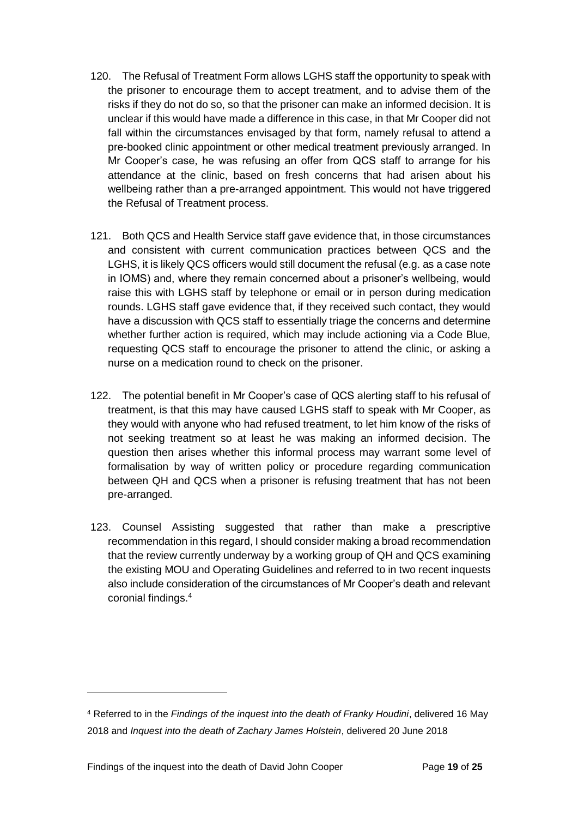- 120. The Refusal of Treatment Form allows LGHS staff the opportunity to speak with the prisoner to encourage them to accept treatment, and to advise them of the risks if they do not do so, so that the prisoner can make an informed decision. It is unclear if this would have made a difference in this case, in that Mr Cooper did not fall within the circumstances envisaged by that form, namely refusal to attend a pre-booked clinic appointment or other medical treatment previously arranged. In Mr Cooper's case, he was refusing an offer from QCS staff to arrange for his attendance at the clinic, based on fresh concerns that had arisen about his wellbeing rather than a pre-arranged appointment. This would not have triggered the Refusal of Treatment process.
- 121. Both QCS and Health Service staff gave evidence that, in those circumstances and consistent with current communication practices between QCS and the LGHS, it is likely QCS officers would still document the refusal (e.g. as a case note in IOMS) and, where they remain concerned about a prisoner's wellbeing, would raise this with LGHS staff by telephone or email or in person during medication rounds. LGHS staff gave evidence that, if they received such contact, they would have a discussion with QCS staff to essentially triage the concerns and determine whether further action is required, which may include actioning via a Code Blue, requesting QCS staff to encourage the prisoner to attend the clinic, or asking a nurse on a medication round to check on the prisoner.
- 122. The potential benefit in Mr Cooper's case of QCS alerting staff to his refusal of treatment, is that this may have caused LGHS staff to speak with Mr Cooper, as they would with anyone who had refused treatment, to let him know of the risks of not seeking treatment so at least he was making an informed decision. The question then arises whether this informal process may warrant some level of formalisation by way of written policy or procedure regarding communication between QH and QCS when a prisoner is refusing treatment that has not been pre-arranged.
- 123. Counsel Assisting suggested that rather than make a prescriptive recommendation in this regard, I should consider making a broad recommendation that the review currently underway by a working group of QH and QCS examining the existing MOU and Operating Guidelines and referred to in two recent inquests also include consideration of the circumstances of Mr Cooper's death and relevant coronial findings.<sup>4</sup>

l

<sup>4</sup> Referred to in the *Findings of the inquest into the death of Franky Houdini*, delivered 16 May 2018 and *Inquest into the death of Zachary James Holstein*, delivered 20 June 2018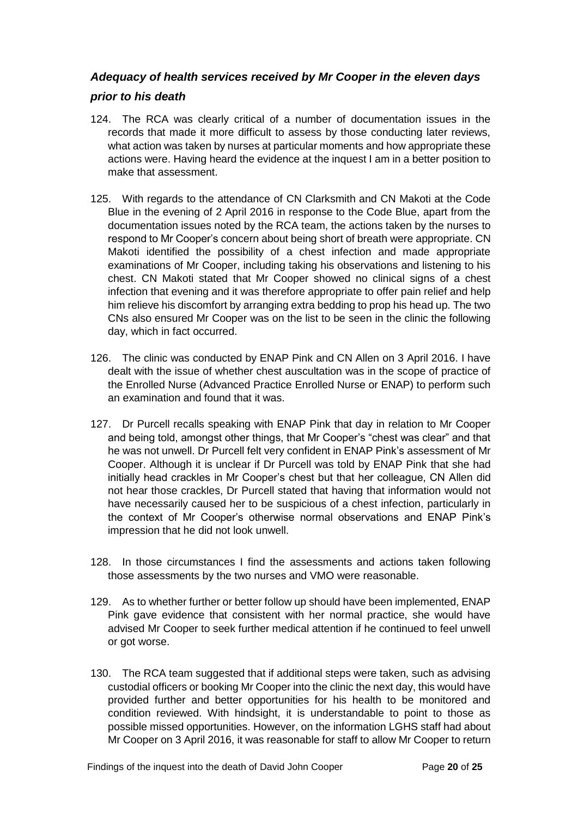#### <span id="page-21-0"></span>*Adequacy of health services received by Mr Cooper in the eleven days*

#### *prior to his death*

- 124. The RCA was clearly critical of a number of documentation issues in the records that made it more difficult to assess by those conducting later reviews, what action was taken by nurses at particular moments and how appropriate these actions were. Having heard the evidence at the inquest I am in a better position to make that assessment.
- 125. With regards to the attendance of CN Clarksmith and CN Makoti at the Code Blue in the evening of 2 April 2016 in response to the Code Blue, apart from the documentation issues noted by the RCA team, the actions taken by the nurses to respond to Mr Cooper's concern about being short of breath were appropriate. CN Makoti identified the possibility of a chest infection and made appropriate examinations of Mr Cooper, including taking his observations and listening to his chest. CN Makoti stated that Mr Cooper showed no clinical signs of a chest infection that evening and it was therefore appropriate to offer pain relief and help him relieve his discomfort by arranging extra bedding to prop his head up. The two CNs also ensured Mr Cooper was on the list to be seen in the clinic the following day, which in fact occurred.
- 126. The clinic was conducted by ENAP Pink and CN Allen on 3 April 2016. I have dealt with the issue of whether chest auscultation was in the scope of practice of the Enrolled Nurse (Advanced Practice Enrolled Nurse or ENAP) to perform such an examination and found that it was.
- 127. Dr Purcell recalls speaking with ENAP Pink that day in relation to Mr Cooper and being told, amongst other things, that Mr Cooper's "chest was clear" and that he was not unwell. Dr Purcell felt very confident in ENAP Pink's assessment of Mr Cooper. Although it is unclear if Dr Purcell was told by ENAP Pink that she had initially head crackles in Mr Cooper's chest but that her colleague, CN Allen did not hear those crackles, Dr Purcell stated that having that information would not have necessarily caused her to be suspicious of a chest infection, particularly in the context of Mr Cooper's otherwise normal observations and ENAP Pink's impression that he did not look unwell.
- 128. In those circumstances I find the assessments and actions taken following those assessments by the two nurses and VMO were reasonable.
- 129. As to whether further or better follow up should have been implemented, ENAP Pink gave evidence that consistent with her normal practice, she would have advised Mr Cooper to seek further medical attention if he continued to feel unwell or got worse.
- 130. The RCA team suggested that if additional steps were taken, such as advising custodial officers or booking Mr Cooper into the clinic the next day, this would have provided further and better opportunities for his health to be monitored and condition reviewed. With hindsight, it is understandable to point to those as possible missed opportunities. However, on the information LGHS staff had about Mr Cooper on 3 April 2016, it was reasonable for staff to allow Mr Cooper to return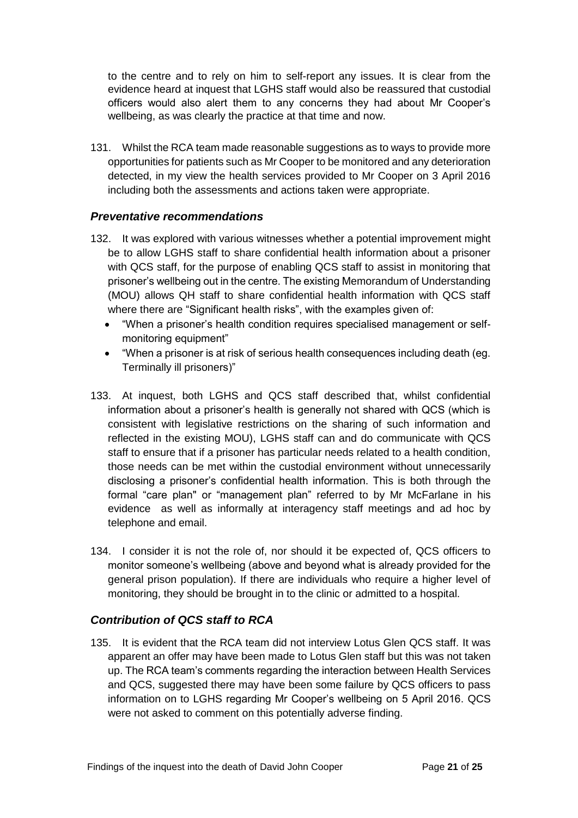to the centre and to rely on him to self-report any issues. It is clear from the evidence heard at inquest that LGHS staff would also be reassured that custodial officers would also alert them to any concerns they had about Mr Cooper's wellbeing, as was clearly the practice at that time and now.

131. Whilst the RCA team made reasonable suggestions as to ways to provide more opportunities for patients such as Mr Cooper to be monitored and any deterioration detected, in my view the health services provided to Mr Cooper on 3 April 2016 including both the assessments and actions taken were appropriate.

#### <span id="page-22-0"></span>*Preventative recommendations*

- 132. It was explored with various witnesses whether a potential improvement might be to allow LGHS staff to share confidential health information about a prisoner with QCS staff, for the purpose of enabling QCS staff to assist in monitoring that prisoner's wellbeing out in the centre. The existing Memorandum of Understanding (MOU) allows QH staff to share confidential health information with QCS staff where there are "Significant health risks", with the examples given of:
	- "When a prisoner's health condition requires specialised management or selfmonitoring equipment"
	- "When a prisoner is at risk of serious health consequences including death (eg. Terminally ill prisoners)"
- 133. At inquest, both LGHS and QCS staff described that, whilst confidential information about a prisoner's health is generally not shared with QCS (which is consistent with legislative restrictions on the sharing of such information and reflected in the existing MOU), LGHS staff can and do communicate with QCS staff to ensure that if a prisoner has particular needs related to a health condition, those needs can be met within the custodial environment without unnecessarily disclosing a prisoner's confidential health information. This is both through the formal "care plan" or "management plan" referred to by Mr McFarlane in his evidence as well as informally at interagency staff meetings and ad hoc by telephone and email.
- 134. I consider it is not the role of, nor should it be expected of, QCS officers to monitor someone's wellbeing (above and beyond what is already provided for the general prison population). If there are individuals who require a higher level of monitoring, they should be brought in to the clinic or admitted to a hospital.

#### <span id="page-22-1"></span>*Contribution of QCS staff to RCA*

135. It is evident that the RCA team did not interview Lotus Glen QCS staff. It was apparent an offer may have been made to Lotus Glen staff but this was not taken up. The RCA team's comments regarding the interaction between Health Services and QCS, suggested there may have been some failure by QCS officers to pass information on to LGHS regarding Mr Cooper's wellbeing on 5 April 2016. QCS were not asked to comment on this potentially adverse finding.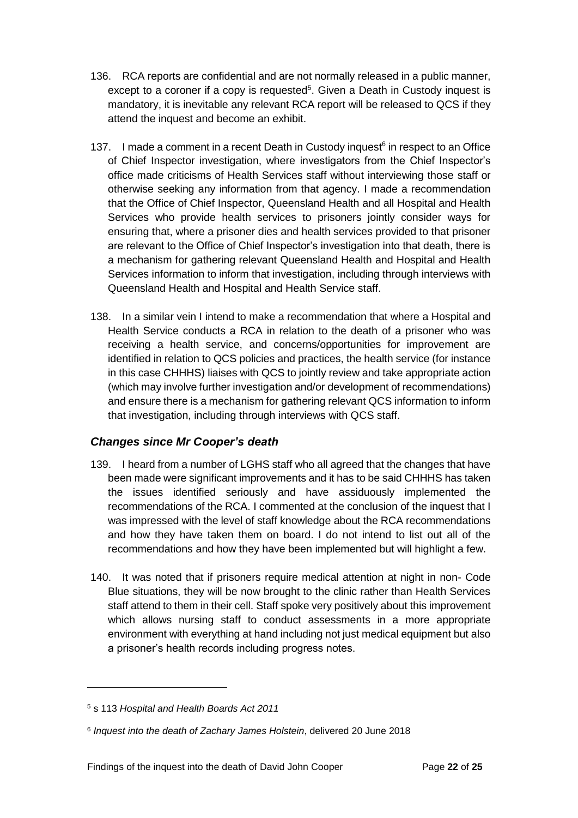- 136. RCA reports are confidential and are not normally released in a public manner, except to a coroner if a copy is requested<sup>5</sup>. Given a Death in Custody inquest is mandatory, it is inevitable any relevant RCA report will be released to QCS if they attend the inquest and become an exhibit.
- 137. I made a comment in a recent Death in Custody inquest<sup>6</sup> in respect to an Office of Chief Inspector investigation, where investigators from the Chief Inspector's office made criticisms of Health Services staff without interviewing those staff or otherwise seeking any information from that agency. I made a recommendation that the Office of Chief Inspector, Queensland Health and all Hospital and Health Services who provide health services to prisoners jointly consider ways for ensuring that, where a prisoner dies and health services provided to that prisoner are relevant to the Office of Chief Inspector's investigation into that death, there is a mechanism for gathering relevant Queensland Health and Hospital and Health Services information to inform that investigation, including through interviews with Queensland Health and Hospital and Health Service staff.
- 138. In a similar vein I intend to make a recommendation that where a Hospital and Health Service conducts a RCA in relation to the death of a prisoner who was receiving a health service, and concerns/opportunities for improvement are identified in relation to QCS policies and practices, the health service (for instance in this case CHHHS) liaises with QCS to jointly review and take appropriate action (which may involve further investigation and/or development of recommendations) and ensure there is a mechanism for gathering relevant QCS information to inform that investigation, including through interviews with QCS staff.

#### <span id="page-23-0"></span>*Changes since Mr Cooper's death*

- 139. I heard from a number of LGHS staff who all agreed that the changes that have been made were significant improvements and it has to be said CHHHS has taken the issues identified seriously and have assiduously implemented the recommendations of the RCA. I commented at the conclusion of the inquest that I was impressed with the level of staff knowledge about the RCA recommendations and how they have taken them on board. I do not intend to list out all of the recommendations and how they have been implemented but will highlight a few.
- 140. It was noted that if prisoners require medical attention at night in non- Code Blue situations, they will be now brought to the clinic rather than Health Services staff attend to them in their cell. Staff spoke very positively about this improvement which allows nursing staff to conduct assessments in a more appropriate environment with everything at hand including not just medical equipment but also a prisoner's health records including progress notes.

l

<sup>5</sup> s 113 *Hospital and Health Boards Act 2011*

<sup>6</sup> *Inquest into the death of Zachary James Holstein*, delivered 20 June 2018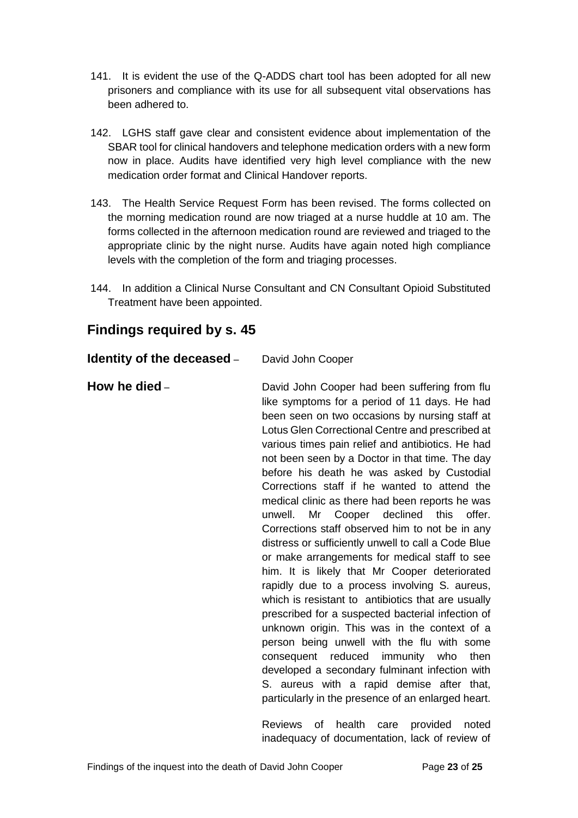- 141. It is evident the use of the Q-ADDS chart tool has been adopted for all new prisoners and compliance with its use for all subsequent vital observations has been adhered to.
- 142. LGHS staff gave clear and consistent evidence about implementation of the SBAR tool for clinical handovers and telephone medication orders with a new form now in place. Audits have identified very high level compliance with the new medication order format and Clinical Handover reports.
- 143. The Health Service Request Form has been revised. The forms collected on the morning medication round are now triaged at a nurse huddle at 10 am. The forms collected in the afternoon medication round are reviewed and triaged to the appropriate clinic by the night nurse. Audits have again noted high compliance levels with the completion of the form and triaging processes.
- 144. In addition a Clinical Nurse Consultant and CN Consultant Opioid Substituted Treatment have been appointed.

## <span id="page-24-0"></span>**Findings required by s. 45**

<span id="page-24-1"></span>**Identity of the deceased** – David John Cooper

<span id="page-24-2"></span>

| How he died - | David John Cooper had been suffering from flu<br>like symptoms for a period of 11 days. He had<br>been seen on two occasions by nursing staff at<br>Lotus Glen Correctional Centre and prescribed at<br>various times pain relief and antibiotics. He had<br>not been seen by a Doctor in that time. The day<br>before his death he was asked by Custodial<br>Corrections staff if he wanted to attend the<br>medical clinic as there had been reports he was<br>Mr Cooper declined this offer.<br>unwell.<br>Corrections staff observed him to not be in any<br>distress or sufficiently unwell to call a Code Blue<br>or make arrangements for medical staff to see<br>him. It is likely that Mr Cooper deteriorated<br>rapidly due to a process involving S. aureus,<br>which is resistant to antibiotics that are usually<br>prescribed for a suspected bacterial infection of<br>unknown origin. This was in the context of a |
|---------------|------------------------------------------------------------------------------------------------------------------------------------------------------------------------------------------------------------------------------------------------------------------------------------------------------------------------------------------------------------------------------------------------------------------------------------------------------------------------------------------------------------------------------------------------------------------------------------------------------------------------------------------------------------------------------------------------------------------------------------------------------------------------------------------------------------------------------------------------------------------------------------------------------------------------------------|
|               | person being unwell with the flu with some<br>consequent reduced immunity who then<br>developed a secondary fulminant infection with<br>S. aureus with a rapid demise after that,<br>particularly in the presence of an enlarged heart.                                                                                                                                                                                                                                                                                                                                                                                                                                                                                                                                                                                                                                                                                            |
|               |                                                                                                                                                                                                                                                                                                                                                                                                                                                                                                                                                                                                                                                                                                                                                                                                                                                                                                                                    |

Reviews of health care provided noted inadequacy of documentation, lack of review of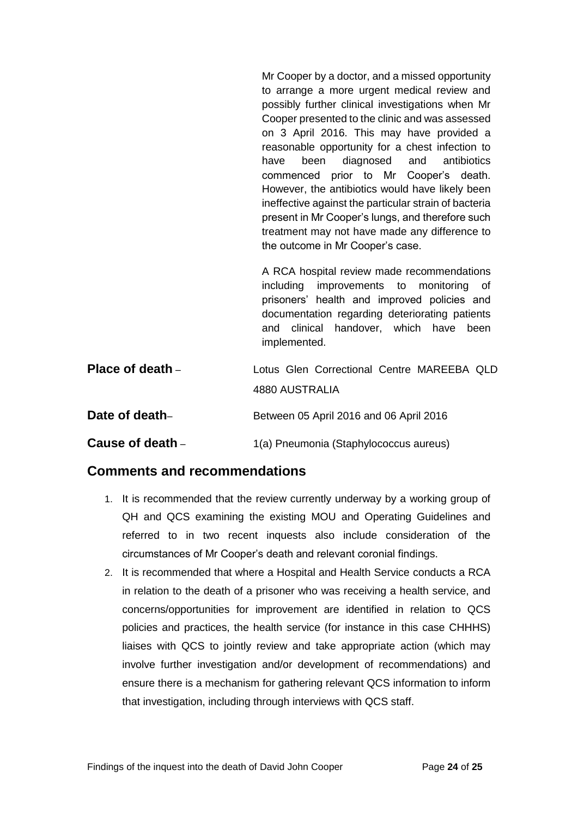Mr Cooper by a doctor, and a missed opportunity to arrange a more urgent medical review and possibly further clinical investigations when Mr Cooper presented to the clinic and was assessed on 3 April 2016. This may have provided a reasonable opportunity for a chest infection to have been diagnosed and antibiotics commenced prior to Mr Cooper's death. However, the antibiotics would have likely been ineffective against the particular strain of bacteria present in Mr Cooper's lungs, and therefore such treatment may not have made any difference to the outcome in Mr Cooper's case.

A RCA hospital review made recommendations including improvements to monitoring of prisoners' health and improved policies and documentation regarding deteriorating patients and clinical handover, which have been implemented.

<span id="page-25-1"></span><span id="page-25-0"></span>

| Place of death $-$ | Lotus Glen Correctional Centre MAREEBA QLD |
|--------------------|--------------------------------------------|
|                    | 4880 AUSTRALIA                             |
| Date of death-     | Between 05 April 2016 and 06 April 2016    |
| Cause of death –   | 1(a) Pneumonia (Staphylococcus aureus)     |

## <span id="page-25-3"></span><span id="page-25-2"></span>**Comments and recommendations**

- 1. It is recommended that the review currently underway by a working group of QH and QCS examining the existing MOU and Operating Guidelines and referred to in two recent inquests also include consideration of the circumstances of Mr Cooper's death and relevant coronial findings.
- 2. It is recommended that where a Hospital and Health Service conducts a RCA in relation to the death of a prisoner who was receiving a health service, and concerns/opportunities for improvement are identified in relation to QCS policies and practices, the health service (for instance in this case CHHHS) liaises with QCS to jointly review and take appropriate action (which may involve further investigation and/or development of recommendations) and ensure there is a mechanism for gathering relevant QCS information to inform that investigation, including through interviews with QCS staff.